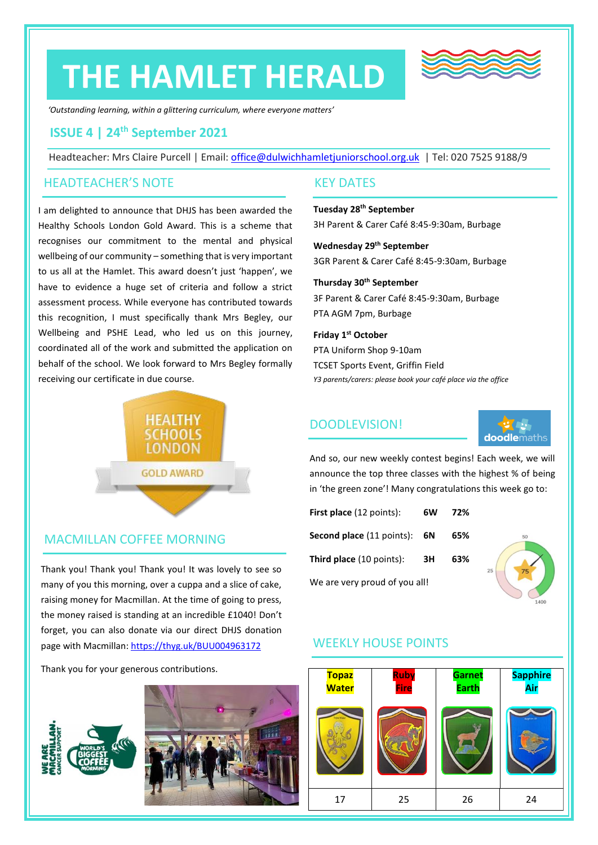# **THE HAMLET HERALD**



*'Outstanding learning, within a glittering curriculum, where everyone matters'*

## **ISSUE 4 | 24th September 2021**

Headteacher: Mrs Claire Purcell | Email: [office@dulwichhamletjuniorschool.org.uk](mailto:office@dulwichhamletjuniorschool.org.uk) | Tel: 020 7525 9188/9

#### HEADTEACHER'S NOTE

I am delighted to announce that DHJS has been awarded the Healthy Schools London Gold Award. This is a scheme that recognises our commitment to the mental and physical wellbeing of our community – something that is very important to us all at the Hamlet. This award doesn't just 'happen', we have to evidence a huge set of criteria and follow a strict assessment process. While everyone has contributed towards this recognition, I must specifically thank Mrs Begley, our Wellbeing and PSHE Lead, who led us on this journey, coordinated all of the work and submitted the application on behalf of the school. We look forward to Mrs Begley formally receiving our certificate in due course.



#### MACMILLAN COFFEE MORNING

Thank you! Thank you! Thank you! It was lovely to see so many of you this morning, over a cuppa and a slice of cake, raising money for Macmillan. At the time of going to press, the money raised is standing at an incredible £1040! Don't forget, you can also donate via our direct DHJS donation page with Macmillan[: https://thyg.uk/BUU004963172](https://thyg.uk/BUU004963172)

Thank you for your generous contributions.





#### KEY DATES

#### **Tuesday 28 th September** 3H Parent & Carer Café 8:45-9:30am, Burbage

**Wednesday 29th September**

3GR Parent & Carer Café 8:45-9:30am, Burbage

**Thursday 30th September** 3F Parent & Carer Café 8:45-9:30am, Burbage PTA AGM 7pm, Burbage

#### **Friday 1 st October**

PTA Uniform Shop 9-10am TCSET Sports Event, Griffin Field *Y3 parents/carers: please book your café place via the office*

## DOODLEVISION!



And so, our new weekly contest begins! Each week, we will announce the top three classes with the highest % of being in 'the green zone'! Many congratulations this week go to:

| First place (12 points):            | 6W | 72% |
|-------------------------------------|----|-----|
| <b>Second place (11 points): 6N</b> |    | 65% |
| Third place (10 points):            | 3H | 63% |
| We are very proud of you all!       |    |     |



## WEEKLY HOUSE POINTS